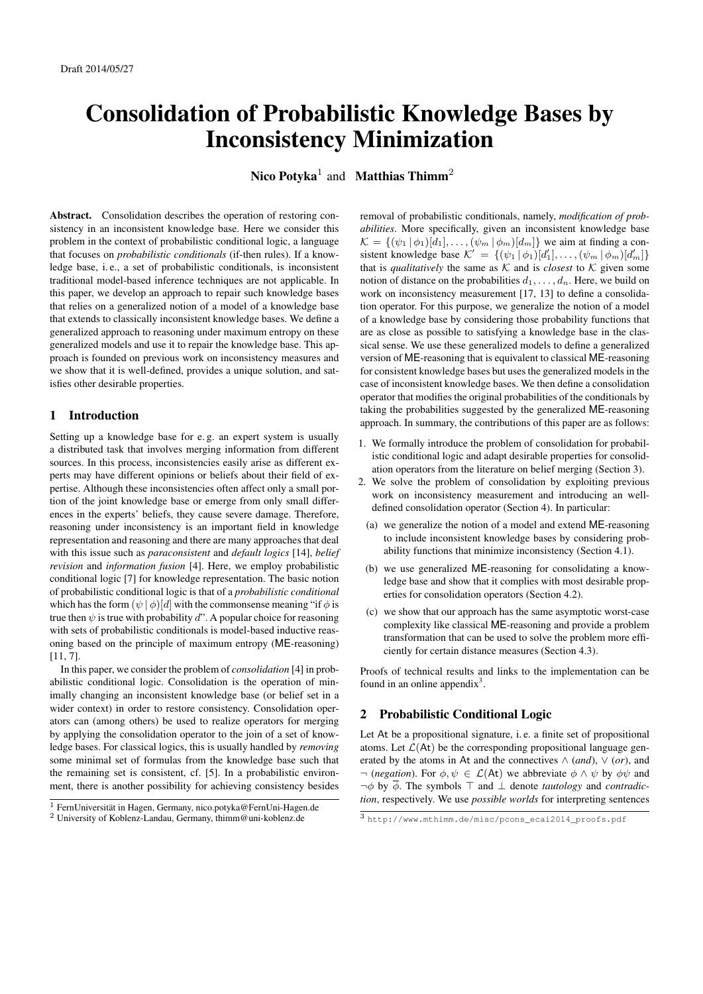# Consolidation of Probabilistic Knowledge Bases by Inconsistency Minimization

Nico Potyka<sup>1</sup> and Matthias Thimm<sup>2</sup>

Abstract. Consolidation describes the operation of restoring consistency in an inconsistent knowledge base. Here we consider this problem in the context of probabilistic conditional logic, a language that focuses on *probabilistic conditionals* (if-then rules). If a knowledge base, i. e., a set of probabilistic conditionals, is inconsistent traditional model-based inference techniques are not applicable. In this paper, we develop an approach to repair such knowledge bases that relies on a generalized notion of a model of a knowledge base that extends to classically inconsistent knowledge bases. We define a generalized approach to reasoning under maximum entropy on these generalized models and use it to repair the knowledge base. This approach is founded on previous work on inconsistency measures and we show that it is well-defined, provides a unique solution, and satisfies other desirable properties.

## 1 Introduction

Setting up a knowledge base for e. g. an expert system is usually a distributed task that involves merging information from different sources. In this process, inconsistencies easily arise as different experts may have different opinions or beliefs about their field of expertise. Although these inconsistencies often affect only a small portion of the joint knowledge base or emerge from only small differences in the experts' beliefs, they cause severe damage. Therefore, reasoning under inconsistency is an important field in knowledge representation and reasoning and there are many approaches that deal with this issue such as *paraconsistent* and *default logics* [14], *belief revision* and *information fusion* [4]. Here, we employ probabilistic conditional logic [7] for knowledge representation. The basic notion of probabilistic conditional logic is that of a *probabilistic conditional* which has the form  $(\psi | \phi)[d]$  with the commonsense meaning "if  $\phi$  is true then  $\psi$  is true with probability d". A popular choice for reasoning with sets of probabilistic conditionals is model-based inductive reasoning based on the principle of maximum entropy (ME-reasoning) [11, 7].

In this paper, we consider the problem of *consolidation* [4] in probabilistic conditional logic. Consolidation is the operation of minimally changing an inconsistent knowledge base (or belief set in a wider context) in order to restore consistency. Consolidation operators can (among others) be used to realize operators for merging by applying the consolidation operator to the join of a set of knowledge bases. For classical logics, this is usually handled by *removing* some minimal set of formulas from the knowledge base such that the remaining set is consistent, cf. [5]. In a probabilistic environment, there is another possibility for achieving consistency besides removal of probabilistic conditionals, namely, *modification of probabilities*. More specifically, given an inconsistent knowledge base  $\mathcal{K} = \{(\psi_1 | \phi_1)[d_1], \ldots, (\psi_m | \phi_m)[d_m]\}\$  we aim at finding a consistent knowledge base  $\mathcal{K}' = \{(\psi_1 | \phi_1)[d'_1], \dots, (\psi_m | \phi_m)[d'_m]\}$ that is *qualitatively* the same as  $K$  and is *closest* to  $K$  given some notion of distance on the probabilities  $d_1, \ldots, d_n$ . Here, we build on work on inconsistency measurement [17, 13] to define a consolidation operator. For this purpose, we generalize the notion of a model of a knowledge base by considering those probability functions that are as close as possible to satisfying a knowledge base in the classical sense. We use these generalized models to define a generalized version of ME-reasoning that is equivalent to classical ME-reasoning for consistent knowledge bases but uses the generalized models in the case of inconsistent knowledge bases. We then define a consolidation operator that modifies the original probabilities of the conditionals by taking the probabilities suggested by the generalized ME-reasoning approach. In summary, the contributions of this paper are as follows:

- 1. We formally introduce the problem of consolidation for probabilistic conditional logic and adapt desirable properties for consolidation operators from the literature on belief merging (Section 3).
- 2. We solve the problem of consolidation by exploiting previous work on inconsistency measurement and introducing an welldefined consolidation operator (Section 4). In particular:
	- (a) we generalize the notion of a model and extend ME-reasoning to include inconsistent knowledge bases by considering probability functions that minimize inconsistency (Section 4.1).
	- (b) we use generalized ME-reasoning for consolidating a knowledge base and show that it complies with most desirable properties for consolidation operators (Section 4.2).
	- (c) we show that our approach has the same asymptotic worst-case complexity like classical ME-reasoning and provide a problem transformation that can be used to solve the problem more efficiently for certain distance measures (Section 4.3).

Proofs of technical results and links to the implementation can be found in an online appendix $3$ .

## 2 Probabilistic Conditional Logic

Let At be a propositional signature, i. e. a finite set of propositional atoms. Let  $\mathcal{L}(\mathsf{At})$  be the corresponding propositional language generated by the atoms in At and the connectives  $\wedge$  (*and*),  $\vee$  (*or*), and  $\neg$  (*negation*). For  $\phi, \psi \in \mathcal{L}(A_t)$  we abbreviate  $\phi \wedge \psi$  by  $\phi \psi$  and  $\neg \phi$  by  $\overline{\phi}$ . The symbols  $\top$  and  $\bot$  denote *tautology* and *contradiction*, respectively. We use *possible worlds* for interpreting sentences

<sup>1</sup> FernUniversitat in Hagen, Germany, nico.potyka@FernUni-Hagen.de ¨ <sup>2</sup> University of Koblenz-Landau, Germany, thimm@uni-koblenz.de

<sup>3</sup> http://www.mthimm.de/misc/pcons\_ecai2014\_proofs.pdf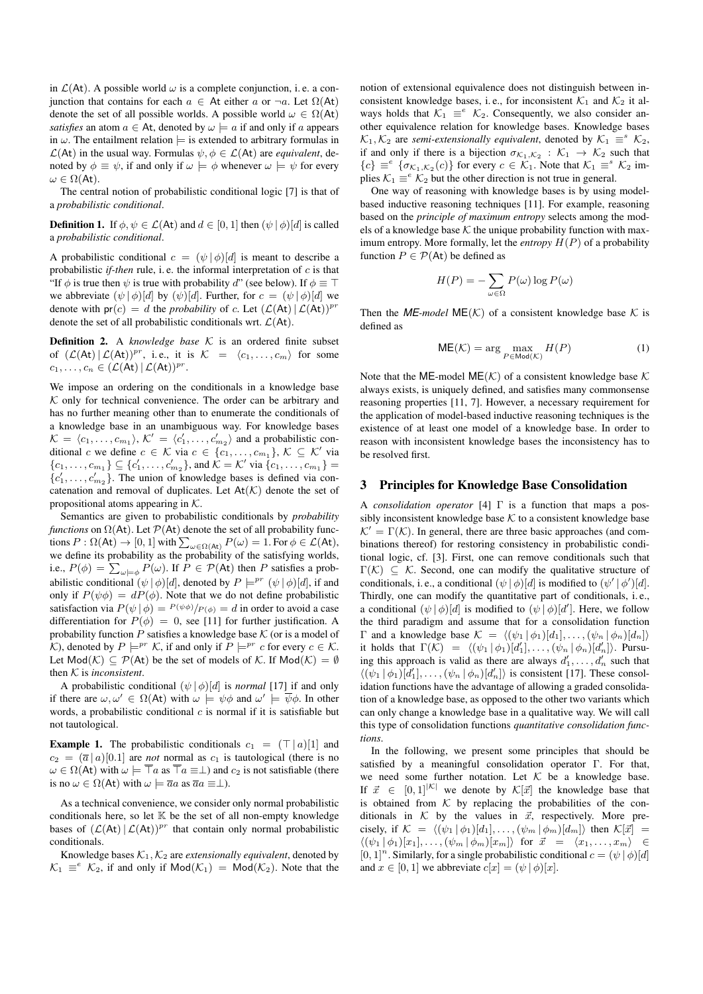in  $\mathcal{L}(At)$ . A possible world  $\omega$  is a complete conjunction, i.e. a conjunction that contains for each  $a \in$  At either a or  $\neg a$ . Let  $\Omega(At)$ denote the set of all possible worlds. A possible world  $\omega \in \Omega(\mathsf{At})$ *satisfies* an atom  $a \in At$ , denoted by  $\omega \models a$  if and only if a appears in  $\omega$ . The entailment relation  $\models$  is extended to arbitrary formulas in  $\mathcal{L}(At)$  in the usual way. Formulas  $\psi, \phi \in \mathcal{L}(At)$  are *equivalent*, denoted by  $\phi \equiv \psi$ , if and only if  $\omega \models \phi$  whenever  $\omega \models \psi$  for every  $\omega \in \Omega(\mathsf{At}).$ 

The central notion of probabilistic conditional logic [7] is that of a *probabilistic conditional*.

**Definition 1.** If  $\phi, \psi \in \mathcal{L}(A_t)$  and  $d \in [0, 1]$  then  $(\psi | \phi)[d]$  is called a *probabilistic conditional*.

A probabilistic conditional  $c = (\psi | \phi) [d]$  is meant to describe a probabilistic *if-then* rule, i. e. the informal interpretation of c is that "If  $\phi$  is true then  $\psi$  is true with probability d" (see below). If  $\phi \equiv \top$ we abbreviate  $(\psi | \phi)[d]$  by  $(\psi)[d]$ . Further, for  $c = (\psi | \phi)[d]$  we denote with  $pr(c) = d$  the *probability* of c. Let  $(L(At) | L(At))^{pr}$ denote the set of all probabilistic conditionals wrt.  $\mathcal{L}(At)$ .

**Definition 2.** A *knowledge base*  $K$  is an ordered finite subset of  $(\mathcal{L}(At) | \mathcal{L}(At))^{pr}$ , i.e., it is  $\mathcal{K} = \langle c_1, \ldots, c_m \rangle$  for some  $c_1, \ldots, c_n \in (\mathcal{L}(\mathsf{At}) \, | \, \mathcal{L}(\mathsf{At}))^{pr}.$ 

We impose an ordering on the conditionals in a knowledge base  $K$  only for technical convenience. The order can be arbitrary and has no further meaning other than to enumerate the conditionals of a knowledge base in an unambiguous way. For knowledge bases  $\mathcal{K} = \langle c_1, \ldots, c_{m_1} \rangle, \, \mathcal{K}' = \langle c'_1, \ldots, c'_{m_2} \rangle$  and a probabilistic conditional c we define  $c \in \mathcal{K}$  via  $c \in \{c_1, \ldots, c_{m_1}\}, \mathcal{K} \subseteq \mathcal{K}'$  via  $\{c_1, \ldots, c_{m_1}\} \subseteq \{c'_1, \ldots, c'_{m_2}\}$ , and  $\mathcal{K} = \mathcal{K}'$  via  $\{c_1, \ldots, c_{m_1}\} =$  ${c'_1, \ldots, c'_{m_2}}$ . The union of knowledge bases is defined via concatenation and removal of duplicates. Let  $At(K)$  denote the set of propositional atoms appearing in  $K$ .

Semantics are given to probabilistic conditionals by *probability functions* on  $\Omega$ (At). Let  $\mathcal{P}$ (At) denote the set of all probability functions  $P: \Omega(\mathsf{At}) \to [0,1]$  with  $\sum_{\omega \in \Omega(\mathsf{At})} P(\omega) = 1$ . For  $\phi \in \mathcal{L}(\mathsf{At})$ , we define its probability as the probability of the satisfying worlds, i.e.,  $P(\phi) = \sum_{\omega \models \phi} P(\omega)$ . If  $P \in \mathcal{P}(\mathsf{At})$  then P satisfies a probabilistic conditional  $(\psi | \phi) [d]$ , denoted by  $P \models^{pr} (\psi | \phi) [d]$ , if and only if  $P(\psi \phi) = dP(\phi)$ . Note that we do not define probabilistic satisfaction via  $P(\psi | \phi) = P(\psi \phi)/P(\phi) = d$  in order to avoid a case differentiation for  $P(\phi) = 0$ , see [11] for further justification. A probability function  $P$  satisfies a knowledge base  $K$  (or is a model of K), denoted by  $P \models^{pr} K$ , if and only if  $P \models^{pr} c$  for every  $c \in K$ . Let  $Mod(K) \subseteq \mathcal{P}(At)$  be the set of models of K. If  $Mod(K) = \emptyset$ then K is *inconsistent*.

A probabilistic conditional  $(\psi | \phi)[d]$  is *normal* [17] if and only if there are  $\omega, \omega' \in \Omega(\mathsf{At})$  with  $\omega \models \psi \phi$  and  $\omega' \models \overline{\psi} \phi$ . In other words, a probabilistic conditional  $c$  is normal if it is satisfiable but not tautological.

**Example 1.** The probabilistic conditionals  $c_1 = (\top | a)[1]$  and  $c_2 = (\overline{a} \mid a)[0.1]$  are *not* normal as  $c_1$  is tautological (there is no  $\omega \in \Omega(\mathsf{At})$  with  $\omega \models \overline{\top}a$  as  $\overline{\top}a \equiv \bot$ ) and  $c_2$  is not satisfiable (there is no  $\omega \in \Omega(\mathsf{At})$  with  $\omega \models \overline{a}a$  as  $\overline{a}a \equiv \perp$ ).

As a technical convenience, we consider only normal probabilistic conditionals here, so let  $K$  be the set of all non-empty knowledge bases of  $({\mathcal{L}}(At)|{\mathcal{L}}(At))^{pr}$  that contain only normal probabilistic conditionals.

Knowledge bases  $K_1, K_2$  are *extensionally equivalent*, denoted by  $\mathcal{K}_1 \equiv^e \mathcal{K}_2$ , if and only if  $\mathsf{Mod}(\mathcal{K}_1) = \mathsf{Mod}(\mathcal{K}_2)$ . Note that the

notion of extensional equivalence does not distinguish between inconsistent knowledge bases, i.e., for inconsistent  $\mathcal{K}_1$  and  $\mathcal{K}_2$  it always holds that  $K_1 \equiv^e K_2$ . Consequently, we also consider another equivalence relation for knowledge bases. Knowledge bases  $\mathcal{K}_1, \mathcal{K}_2$  are *semi-extensionally equivalent*, denoted by  $\mathcal{K}_1 \equiv^s \mathcal{K}_2$ , if and only if there is a bijection  $\sigma_{\mathcal{K}_1,\mathcal{K}_2} : \mathcal{K}_1 \to \mathcal{K}_2$  such that  ${c} \equiv^e {\{\sigma_{\mathcal{K}_1,\mathcal{K}_2}(c)\}}$  for every  $c \in \mathcal{K}_1$ . Note that  $\mathcal{K}_1 \equiv^s \mathcal{K}_2$  implies  $K_1 \equiv^e K_2$  but the other direction is not true in general.

One way of reasoning with knowledge bases is by using modelbased inductive reasoning techniques [11]. For example, reasoning based on the *principle of maximum entropy* selects among the models of a knowledge base  $K$  the unique probability function with maximum entropy. More formally, let the *entropy* H(P) of a probability function  $P \in \mathcal{P}(A_t)$  be defined as

$$
H(P) = -\sum_{\omega \in \Omega} P(\omega) \log P(\omega)
$$

Then the *ME-model* ME( $K$ ) of a consistent knowledge base  $K$  is defined as

$$
ME(\mathcal{K}) = \arg\max_{P \in \text{Mod}(\mathcal{K})} H(P) \tag{1}
$$

Note that the ME-model ME( $K$ ) of a consistent knowledge base  $K$ always exists, is uniquely defined, and satisfies many commonsense reasoning properties [11, 7]. However, a necessary requirement for the application of model-based inductive reasoning techniques is the existence of at least one model of a knowledge base. In order to reason with inconsistent knowledge bases the inconsistency has to be resolved first.

#### 3 Principles for Knowledge Base Consolidation

A *consolidation operator* [4] Γ is a function that maps a possibly inconsistent knowledge base  $K$  to a consistent knowledge base  $K' = \Gamma(K)$ . In general, there are three basic approaches (and combinations thereof) for restoring consistency in probabilistic conditional logic, cf. [3]. First, one can remove conditionals such that  $\Gamma(\mathcal{K}) \subseteq \mathcal{K}$ . Second, one can modify the qualitative structure of conditionals, i.e., a conditional  $(\psi | \phi)[d]$  is modified to  $(\psi' | \phi')[d]$ . Thirdly, one can modify the quantitative part of conditionals, i. e., a conditional  $(\psi | \phi)[d]$  is modified to  $(\psi | \phi)[d']$ . Here, we follow the third paradigm and assume that for a consolidation function Γ and a knowledge base  $\mathcal{K} = \langle (\psi_1 | \phi_1)[d_1], \ldots, (\psi_n | \phi_n)[d_n] \rangle$ it holds that  $\Gamma(\mathcal{K}) = \langle (\psi_1 | \phi_1)[d'_1], \ldots, (\psi_n | \phi_n)[d'_n] \rangle$ . Pursuing this approach is valid as there are always  $d'_1, \ldots, d'_n$  such that  $\langle (\psi_1 | \phi_1)[d'_1], \ldots, (\psi_n | \phi_n)[d'_n] \rangle$  is consistent [17]. These consolidation functions have the advantage of allowing a graded consolidation of a knowledge base, as opposed to the other two variants which can only change a knowledge base in a qualitative way. We will call this type of consolidation functions *quantitative consolidation functions*.

In the following, we present some principles that should be satisfied by a meaningful consolidation operator Γ. For that, we need some further notation. Let  $K$  be a knowledge base. If  $\vec{x} \in [0, 1]^{|\mathcal{K}|}$  we denote by  $\mathcal{K}[\vec{x}]$  the knowledge base that is obtained from  $K$  by replacing the probabilities of the conditionals in  $K$  by the values in  $\vec{x}$ , respectively. More precisely, if  $\mathcal{K} = \langle (\psi_1 | \phi_1)[d_1], \ldots, (\psi_m | \phi_m)[d_m] \rangle$  then  $\mathcal{K}[\vec{x}] =$  $\langle (\psi_1 | \phi_1)[x_1], \ldots, (\psi_m | \phi_m)[x_m] \rangle$  for  $\vec{x} = \langle x_1, \ldots, x_m \rangle \in$  $[0, 1]^n$ . Similarly, for a single probabilistic conditional  $c = (\psi | \phi)[d]$ and  $x \in [0, 1]$  we abbreviate  $c[x] = (\psi | \phi)[x]$ .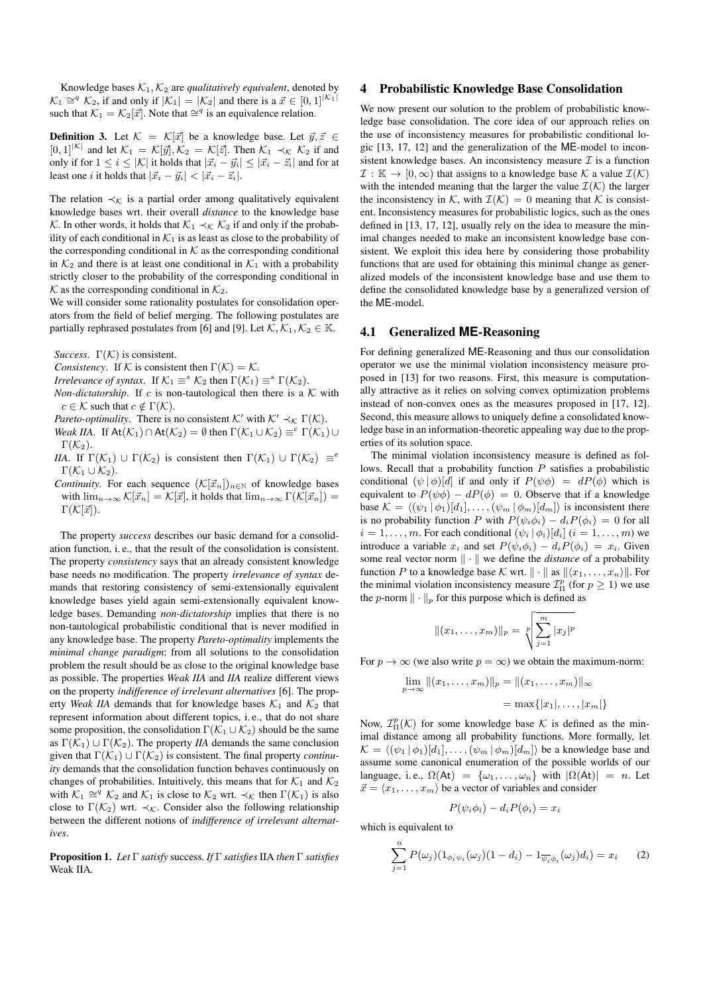Knowledge bases  $K_1, K_2$  are *qualitatively equivalent*, denoted by  $\mathcal{K}_1 \cong^q \mathcal{K}_2$ , if and only if  $|\mathcal{K}_1| = |\mathcal{K}_2|$  and there is a  $\vec{x} \in [0,1]^{|\mathcal{K}_1|}$ such that  $\mathcal{K}_1 = \mathcal{K}_2[\vec{x}]$ . Note that  $\cong^q$  is an equivalence relation.

**Definition 3.** Let  $K = \mathcal{K}[\vec{x}]$  be a knowledge base. Let  $\vec{y}, \vec{z} \in \mathcal{K}$  $[0, 1]^{|\mathcal{K}|}$  and let  $\mathcal{K}_1 = \mathcal{K}[\vec{y}], \mathcal{K}_2 = \mathcal{K}[\vec{z}]$ . Then  $\mathcal{K}_1 \prec_{\mathcal{K}} \mathcal{K}_2$  if and only if for  $1 \leq i \leq |\mathcal{K}|$  it holds that  $|\vec{x}_i - \vec{y}_i| \leq |\vec{x}_i - \vec{z}_i|$  and for at least one *i* it holds that  $|\vec{x}_i - \vec{y}_i| < |\vec{x}_i - \vec{z}_i|$ .

The relation  $\prec_{\mathcal{K}}$  is a partial order among qualitatively equivalent knowledge bases wrt. their overall *distance* to the knowledge base K. In other words, it holds that  $\mathcal{K}_1 \prec_{\mathcal{K}} \mathcal{K}_2$  if and only if the probability of each conditional in  $\mathcal{K}_1$  is as least as close to the probability of the corresponding conditional in  $K$  as the corresponding conditional in  $K_2$  and there is at least one conditional in  $K_1$  with a probability strictly closer to the probability of the corresponding conditional in  $K$  as the corresponding conditional in  $K_2$ .

We will consider some rationality postulates for consolidation operators from the field of belief merging. The following postulates are partially rephrased postulates from [6] and [9]. Let  $K, K_1, K_2 \in \mathbb{K}$ .

*Success.*  $\Gamma(K)$  is consistent.

*Consistency*. If K is consistent then  $\Gamma(\mathcal{K}) = \mathcal{K}$ .

*Irrelevance of syntax.* If  $K_1 \equiv^s K_2$  then  $\Gamma(\mathcal{K}_1) \equiv^s \Gamma(\mathcal{K}_2)$ .

*Non-dictatorship*. If  $c$  is non-tautological then there is a  $K$  with  $c \in \mathcal{K}$  such that  $c \notin \Gamma(\mathcal{K})$ .

*Pareto-optimality*. There is no consistent  $K'$  with  $K' \prec_K \Gamma(K)$ .

- *Weak IIA*. If  $\text{At}(\mathcal{K}_1) \cap \text{At}(\mathcal{K}_2) = \emptyset$  then  $\Gamma(\mathcal{K}_1 \cup \mathcal{K}_2) \equiv^e \Gamma(\mathcal{K}_1) \cup$  $\Gamma(\mathcal{K}_2)$ .
- *IIA*. If  $\Gamma(\mathcal{K}_1) \cup \Gamma(\mathcal{K}_2)$  is consistent then  $\Gamma(\mathcal{K}_1) \cup \Gamma(\mathcal{K}_2) \equiv^e$  $\Gamma(\mathcal{K}_1 \cup \mathcal{K}_2)$ .
- *Continuity*. For each sequence  $(\mathcal{K}[\vec{x}_n])_{n\in\mathbb{N}}$  of knowledge bases with  $\lim_{n\to\infty} \mathcal{K}[\vec{x}_n] = \mathcal{K}[\vec{x}]$ , it holds that  $\lim_{n\to\infty} \Gamma(\mathcal{K}[\vec{x}_n]) =$  $\Gamma(\mathcal{K}[\vec{x}]).$

The property *success* describes our basic demand for a consolidation function, i. e., that the result of the consolidation is consistent. The property *consistency* says that an already consistent knowledge base needs no modification. The property *irrelevance of syntax* demands that restoring consistency of semi-extensionally equivalent knowledge bases yield again semi-extensionally equivalent knowledge bases. Demanding *non-dictatorship* implies that there is no non-tautological probabilistic conditional that is never modified in any knowledge base. The property *Pareto-optimality* implements the *minimal change paradigm*: from all solutions to the consolidation problem the result should be as close to the original knowledge base as possible. The properties *Weak IIA* and *IIA* realize different views on the property *indifference of irrelevant alternatives* [6]. The property *Weak IIA* demands that for knowledge bases  $K_1$  and  $K_2$  that represent information about different topics, i. e., that do not share some proposition, the consolidation  $\Gamma(\mathcal{K}_1 \cup \mathcal{K}_2)$  should be the same as  $\Gamma(\mathcal{K}_1) \cup \Gamma(\mathcal{K}_2)$ . The property *IIA* demands the same conclusion given that  $\Gamma(\mathcal{K}_1) \cup \Gamma(\mathcal{K}_2)$  is consistent. The final property *continuity* demands that the consolidation function behaves continuously on changes of probabilities. Intuitively, this means that for  $\mathcal{K}_1$  and  $\mathcal{K}_2$ with  $\mathcal{K}_1 \cong^q \mathcal{K}_2$  and  $\mathcal{K}_1$  is close to  $\mathcal{K}_2$  wrt.  $\prec_{\mathcal{K}}$  then  $\Gamma(\mathcal{K}_1)$  is also close to  $\Gamma(\mathcal{K}_2)$  wrt.  $\prec_{\mathcal{K}}$ . Consider also the following relationship between the different notions of *indifference of irrelevant alternatives*.

Proposition 1. *Let* Γ *satisfy* success*. If* Γ *satisfies*IIA *then* Γ *satisfies* Weak IIA*.*

#### 4 Probabilistic Knowledge Base Consolidation

We now present our solution to the problem of probabilistic knowledge base consolidation. The core idea of our approach relies on the use of inconsistency measures for probabilistic conditional logic [13, 17, 12] and the generalization of the ME-model to inconsistent knowledge bases. An inconsistency measure  $\mathcal I$  is a function  $\mathcal{I}: \mathbb{K} \to [0, \infty)$  that assigns to a knowledge base  $\mathcal{K}$  a value  $\mathcal{I}(\mathcal{K})$ with the intended meaning that the larger the value  $\mathcal{I}(\mathcal{K})$  the larger the inconsistency in K, with  $\mathcal{I}(\mathcal{K}) = 0$  meaning that K is consistent. Inconsistency measures for probabilistic logics, such as the ones defined in [13, 17, 12], usually rely on the idea to measure the minimal changes needed to make an inconsistent knowledge base consistent. We exploit this idea here by considering those probability functions that are used for obtaining this minimal change as generalized models of the inconsistent knowledge base and use them to define the consolidated knowledge base by a generalized version of the ME-model.

## 4.1 Generalized **ME**-Reasoning

For defining generalized ME-Reasoning and thus our consolidation operator we use the minimal violation inconsistency measure proposed in [13] for two reasons. First, this measure is computationally attractive as it relies on solving convex optimization problems instead of non-convex ones as the measures proposed in [17, 12]. Second, this measure allows to uniquely define a consolidated knowledge base in an information-theoretic appealing way due to the properties of its solution space.

The minimal violation inconsistency measure is defined as follows. Recall that a probability function P satisfies a probabilistic conditional  $(\psi | \phi) [d]$  if and only if  $P(\psi \phi) = dP(\phi)$  which is equivalent to  $P(\psi \phi) - dP(\phi) = 0$ . Observe that if a knowledge base  $\mathcal{K} = \langle (\psi_1 | \phi_1)[d_1], \dots, (\psi_m | \phi_m)[d_m] \rangle$  is inconsistent there is no probability function P with  $P(\psi_i \phi_i) - d_i P(\phi_i) = 0$  for all  $i = 1, \ldots, m$ . For each conditional  $(\psi_i | \phi_i) [d_i]$   $(i = 1, \ldots, m)$  we introduce a variable  $x_i$  and set  $P(\psi_i \phi_i) - d_i P(\phi_i) = x_i$ . Given some real vector norm  $\|\cdot\|$  we define the *distance* of a probability function P to a knowledge base K wrt.  $\|\cdot\|$  as  $\|\langle x_1, \ldots, x_n \rangle\|$ . For the minimal violation inconsistency measure  $\mathcal{I}_{\Pi}^p$  (for  $p \geq 1$ ) we use the p-norm  $\|\cdot\|_p$  for this purpose which is defined as

$$
|| (x_1, \ldots, x_m) ||_p = \sqrt[p]{\sum_{j=1}^m |x_j|^p}
$$

For  $p \to \infty$  (we also write  $p = \infty$ ) we obtain the maximum-norm:

$$
\lim_{p \to \infty} ||(x_1, \dots, x_m)||_p = ||(x_1, \dots, x_m)||_{\infty}
$$

$$
= \max\{|x_1|, \dots, |x_m|\}
$$

Now,  $\mathcal{I}_{\Pi}^{p}(\mathcal{K})$  for some knowledge base  $\mathcal K$  is defined as the minimal distance among all probability functions. More formally, let  $\mathcal{K} = \langle (\psi_1 | \phi_1)[d_1], \ldots, (\psi_m | \phi_m)[d_m] \rangle$  be a knowledge base and assume some canonical enumeration of the possible worlds of our language, i.e.,  $\Omega(\mathsf{At}) = \{\omega_1, \dots, \omega_n\}$  with  $|\Omega(\mathsf{At})| = n$ . Let  $\vec{x} = \langle x_1, \ldots, x_m \rangle$  be a vector of variables and consider

$$
P(\psi_i \phi_i) - d_i P(\phi_i) = x_i
$$

which is equivalent to

$$
\sum_{j=1}^{n} P(\omega_j) (1_{\phi_i \psi_i}(\omega_j) (1 - d_i) - 1_{\overline{\psi_i} \phi_i}(\omega_j) d_i) = x_i \qquad (2)
$$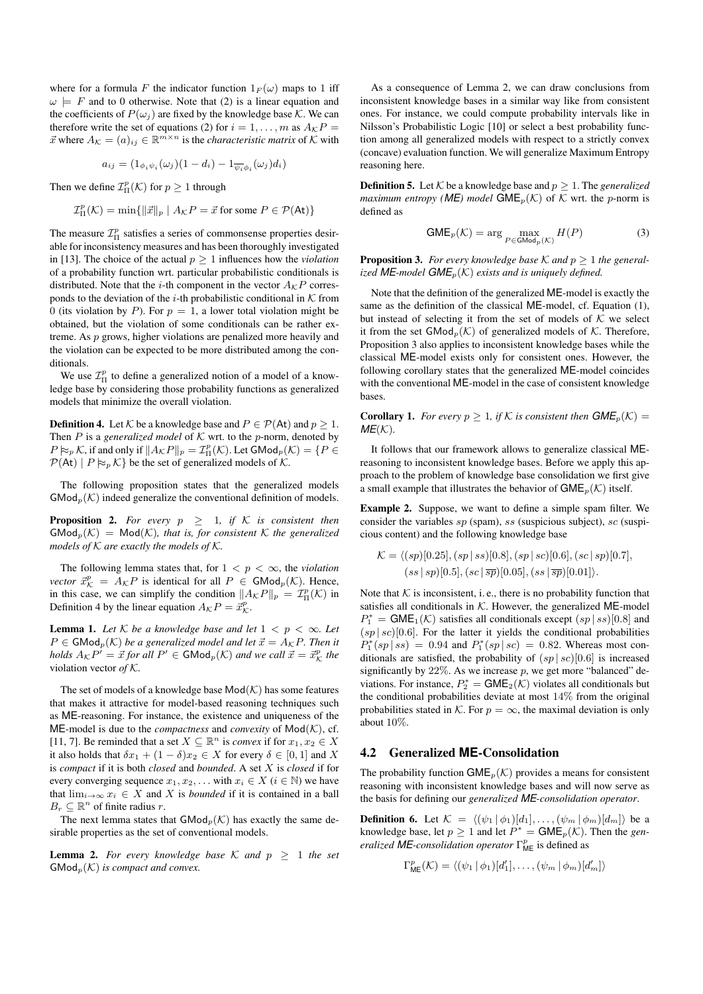where for a formula F the indicator function  $1_F(\omega)$  maps to 1 iff  $\omega \models F$  and to 0 otherwise. Note that (2) is a linear equation and the coefficients of  $P(\omega_i)$  are fixed by the knowledge base K. We can therefore write the set of equations (2) for  $i = 1, \ldots, m$  as  $A_{\mathcal{K}}P =$  $\vec{x}$  where  $A_{\mathcal{K}} = (a)_{ij} \in \mathbb{R}^{m \times n}$  is the *characteristic matrix* of  $\mathcal{K}$  with

$$
a_{ij} = (1_{\phi_i \psi_i}(\omega_j)(1 - d_i) - 1_{\overline{\psi_i} \phi_i}(\omega_j) d_i)
$$

Then we define  $\mathcal{I}^p_{\Pi}(\mathcal{K})$  for  $p \geq 1$  through

$$
\mathcal{I}_{\Pi}^{p}(\mathcal{K}) = \min\{\|\vec{x}\|_{p} \mid A_{\mathcal{K}}P = \vec{x} \text{ for some } P \in \mathcal{P}(\mathsf{At})\}
$$

The measure  $\mathcal{I}_{\Pi}^p$  satisfies a series of commonsense properties desirable for inconsistency measures and has been thoroughly investigated in [13]. The choice of the actual  $p \geq 1$  influences how the *violation* of a probability function wrt. particular probabilistic conditionals is distributed. Note that the *i*-th component in the vector  $A_{\mathcal{K}}P$  corresponds to the deviation of the *i*-th probabilistic conditional in  $K$  from 0 (its violation by P). For  $p = 1$ , a lower total violation might be obtained, but the violation of some conditionals can be rather extreme. As p grows, higher violations are penalized more heavily and the violation can be expected to be more distributed among the conditionals.

We use  $\mathcal{I}_{\Pi}^{p}$  to define a generalized notion of a model of a knowledge base by considering those probability functions as generalized models that minimize the overall violation.

**Definition 4.** Let K be a knowledge base and  $P \in \mathcal{P}(A_t)$  and  $p \geq 1$ . Then  $P$  is a *generalized model* of  $K$  wrt. to the  $p$ -norm, denoted by  $P \approx_p \mathcal{K}$ , if and only if  $||A_{\mathcal{K}}P||_p = \mathcal{I}^p_{\Pi}(\mathcal{K})$ . Let  $\mathsf{GMod}_p(\mathcal{K}) = \{P \in$  $\mathcal{P}(\mathsf{At}) \mid P \approx_{p} \mathcal{K}$  be the set of generalized models of  $\mathcal{K}$ .

The following proposition states that the generalized models  $\mathsf{GMod}_{p}(\mathcal{K})$  indeed generalize the conventional definition of models.

**Proposition 2.** For every  $p \geq 1$ , if K is consistent then  $GMod_p(\mathcal{K}) = Mod(\mathcal{K})$ *, that is, for consistent*  $\mathcal K$  *the generalized models of* K *are exactly the models of* K*.*

The following lemma states that, for  $1 < p < \infty$ , the *violation vector*  $\vec{x}_{\mathcal{K}}^p = A_{\mathcal{K}} P$  is identical for all  $P \in \mathsf{GMod}_p(\mathcal{K})$ . Hence, in this case, we can simplify the condition  $||A_{\mathcal{K}}P||_p = \mathcal{I}_{\Pi}^p(\mathcal{K})$  in Definition 4 by the linear equation  $A_{\mathcal{K}}P = \vec{x}_{\mathcal{K}}^p$ .

**Lemma 1.** Let  $K$  be a knowledge base and let  $1 < p < \infty$ . Let  $P \in \mathsf{GMod}_p(\mathcal{K})$  *be a generalized model and let*  $\vec{x} = A_{\mathcal{K}}P$ *. Then it holds*  $A_{\mathcal{K}}P' = \vec{x}$  *for all*  $P' \in \mathsf{GMod}_p(\mathcal{K})$  *and we call*  $\vec{x} = \vec{x}^p_{\mathcal{K}}$  *the* violation vector *of* K*.*

The set of models of a knowledge base  $\mathsf{Mod}(\mathcal{K})$  has some features that makes it attractive for model-based reasoning techniques such as ME-reasoning. For instance, the existence and uniqueness of the  $ME$ -model is due to the *compactness* and *convexity* of  $Mod(K)$ , cf. [11, 7]. Be reminded that a set  $X \subseteq \mathbb{R}^n$  is *convex* if for  $x_1, x_2 \in X$ it also holds that  $\delta x_1 + (1 - \delta)x_2 \in X$  for every  $\delta \in [0, 1]$  and X is *compact* if it is both *closed* and *bounded*. A set X is *closed* if for every converging sequence  $x_1, x_2, \ldots$  with  $x_i \in X$  ( $i \in \mathbb{N}$ ) we have that  $\lim_{i\to\infty} x_i \in X$  and X is *bounded* if it is contained in a ball  $B_r \subseteq \mathbb{R}^n$  of finite radius r.

The next lemma states that  $\mathsf{GMod}_p(\mathcal{K})$  has exactly the same desirable properties as the set of conventional models.

**Lemma 2.** For every knowledge base  $K$  and  $p \geq 1$  the set  $\mathsf{GMod}_{p}(\mathcal{K})$  *is compact and convex.* 

As a consequence of Lemma 2, we can draw conclusions from inconsistent knowledge bases in a similar way like from consistent ones. For instance, we could compute probability intervals like in Nilsson's Probabilistic Logic [10] or select a best probability function among all generalized models with respect to a strictly convex (concave) evaluation function. We will generalize Maximum Entropy reasoning here.

**Definition 5.** Let  $K$  be a knowledge base and  $p \geq 1$ . The *generalized maximum entropy (ME) model*  $GME_p(\mathcal{K})$  of  $\mathcal K$  wrt. the *p*-norm is defined as

$$
GME_p(\mathcal{K}) = \arg\max_{P \in GMod_p(\mathcal{K})} H(P)
$$
 (3)

**Proposition 3.** For every knowledge base  $K$  and  $p > 1$  the general*ized* **ME**-model  $GME_p(K)$  *exists and is uniquely defined.* 

Note that the definition of the generalized ME-model is exactly the same as the definition of the classical ME-model, cf. Equation (1), but instead of selecting it from the set of models of  $K$  we select it from the set  $\mathsf{GMod}_n(\mathcal{K})$  of generalized models of  $\mathcal{K}$ . Therefore, Proposition 3 also applies to inconsistent knowledge bases while the classical ME-model exists only for consistent ones. However, the following corollary states that the generalized ME-model coincides with the conventional ME-model in the case of consistent knowledge bases.

**Corollary 1.** *For every*  $p \geq 1$ *, if*  $K$  *is consistent then*  $GME<sub>p</sub>(K) =$  $ME(K)$ .

It follows that our framework allows to generalize classical MEreasoning to inconsistent knowledge bases. Before we apply this approach to the problem of knowledge base consolidation we first give a small example that illustrates the behavior of  $GME_p(\mathcal{K})$  itself.

Example 2. Suppose, we want to define a simple spam filter. We consider the variables  $sp$  (spam),  $ss$  (suspicious subject),  $sc$  (suspicious content) and the following knowledge base

$$
\mathcal{K} = \langle (sp)[0.25], (sp|ss)[0.8], (sp|sc)[0.6], (sc|sp)[0.7],
$$
  

$$
(ss|sp)[0.5], (sc|\overline{sp})[0.05], (ss|\overline{sp})[0.01]\rangle.
$$

Note that  $K$  is inconsistent, i.e., there is no probability function that satisfies all conditionals in  $K$ . However, the generalized ME-model  $P_1^* = \text{GME}_1(\mathcal{K})$  satisfies all conditionals except  $(sp \, | \, ss) [0.8]$  and  $(sp | sc) [0.6]$ . For the latter it yields the conditional probabilities  $P_1^*(sp|ss) = 0.94$  and  $P_1^*(sp|sc) = 0.82$ . Whereas most conditionals are satisfied, the probability of  $(sp | sc)[0.6]$  is increased significantly by  $22\%$ . As we increase  $p$ , we get more "balanced" deviations. For instance,  $P_2^* = \text{GME}_2(\mathcal{K})$  violates all conditionals but the conditional probabilities deviate at most 14% from the original probabilities stated in K. For  $p = \infty$ , the maximal deviation is only about 10%.

## 4.2 Generalized **ME**-Consolidation

The probability function  $GME_p(\mathcal{K})$  provides a means for consistent reasoning with inconsistent knowledge bases and will now serve as the basis for defining our *generalized ME-consolidation operator*.

**Definition 6.** Let  $\mathcal{K} = \langle (\psi_1 | \phi_1)[d_1], \dots, (\psi_m | \phi_m)[d_m] \rangle$  be a knowledge base, let  $p \geq 1$  and let  $P^* = \text{GME}_p(\mathcal{K})$ . Then the *generalized* **ME**-consolidation operator  $\Gamma^p_{\text{ME}}$  is defined as

$$
\Gamma^p_{\text{ME}}(\mathcal{K}) = \langle (\psi_1 | \phi_1)[d'_1], \dots, (\psi_m | \phi_m)[d'_m] \rangle
$$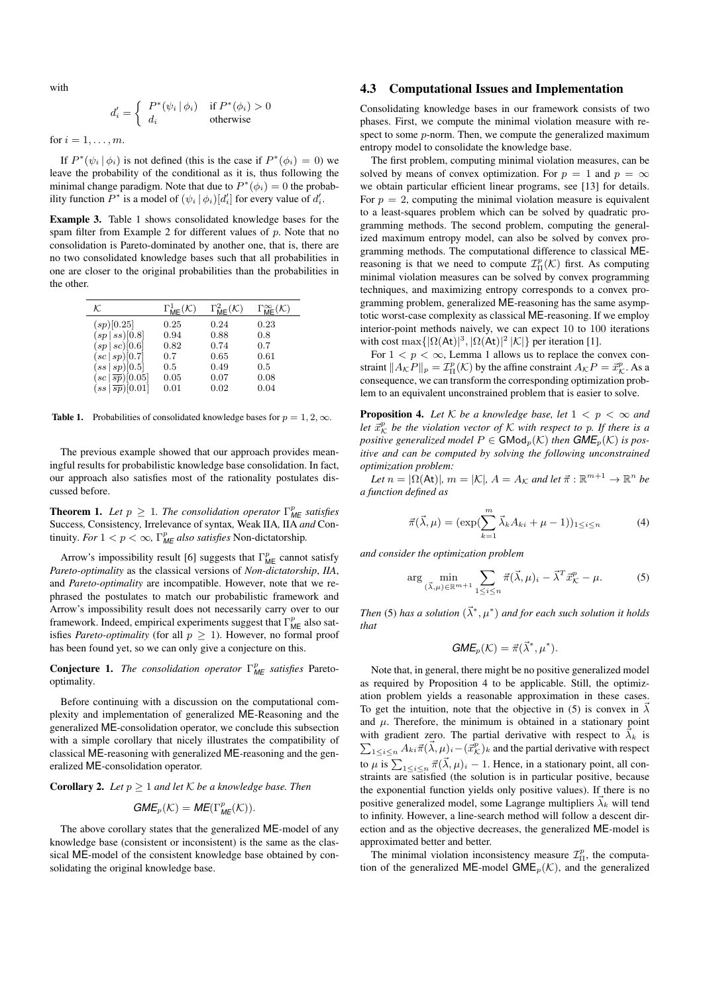with

$$
d'_{i} = \begin{cases} P^*(\psi_i | \phi_i) & \text{if } P^*(\phi_i) > 0\\ d_i & \text{otherwise} \end{cases}
$$

for  $i = 1, \ldots, m$ .

If  $P^*(\psi_i | \phi_i)$  is not defined (this is the case if  $P^*(\phi_i) = 0$ ) we leave the probability of the conditional as it is, thus following the minimal change paradigm. Note that due to  $P^*(\phi_i) = 0$  the probability function  $P^*$  is a model of  $(\psi_i | \phi_i)[d'_i]$  for every value of  $d'_i$ .

Example 3. Table 1 shows consolidated knowledge bases for the spam filter from Example 2 for different values of  $p$ . Note that no consolidation is Pareto-dominated by another one, that is, there are no two consolidated knowledge bases such that all probabilities in one are closer to the original probabilities than the probabilities in the other.

| κ                                                    | $\Gamma^1_{\textsf{ME}}(\mathcal{K})$ | $\Gamma^2_{\textsf{ME}}(\mathcal{K})$ | $\Gamma^{\infty}_{\textsf{ME}}(\mathcal{K})$ |
|------------------------------------------------------|---------------------------------------|---------------------------------------|----------------------------------------------|
| (sp)[0.25]                                           | 0.25                                  | 0.24                                  | 0.23                                         |
| (sp ss)[0.8]                                         | 0.94                                  | 0.88                                  | 0.8                                          |
| $(sp \,   \, sc)[0.6]$                               | 0.82                                  | 0.74                                  | 0.7                                          |
| (sc   sp) [0.7]                                      | 0.7                                   | 0.65                                  | 0.61                                         |
| $(s_{s}   sp)$ [0.5]                                 | 0.5                                   | 0.49                                  | 0.5                                          |
| $(sc \overline{sp})[0.05]$                           | 0.05                                  | 0.07                                  | 0.08                                         |
| $(s\overline{s}\, \,\overline{s}\overline{p})[0.01]$ | 0.01                                  | 0.02                                  | 0.04                                         |

**Table 1.** Probabilities of consolidated knowledge bases for  $p = 1, 2, \infty$ .

The previous example showed that our approach provides meaningful results for probabilistic knowledge base consolidation. In fact, our approach also satisfies most of the rationality postulates discussed before.

**Theorem 1.** Let  $p \geq 1$ . The consolidation operator  $\Gamma^p_{\text{ME}}$  satisfies Success*,* Consistency*,* Irrelevance of syntax*,* Weak IIA*,* IIA *and* Continuity. For  $1 < p < \infty$ ,  $\Gamma_{ME}^p$  also satisfies Non-dictatorship.

Arrow's impossibility result [6] suggests that  $\Gamma_{\text{ME}}^p$  cannot satisfy *Pareto-optimality* as the classical versions of *Non-dictatorship*, *IIA*, and *Pareto-optimality* are incompatible. However, note that we rephrased the postulates to match our probabilistic framework and Arrow's impossibility result does not necessarily carry over to our framework. Indeed, empirical experiments suggest that  $\Gamma^p_{\text{ME}}$  also satisfies *Pareto-optimality* (for all  $p \geq 1$ ). However, no formal proof has been found yet, so we can only give a conjecture on this.

Conjecture 1. *The consolidation operator* Γ p *ME satisfies* Paretooptimality*.*

Before continuing with a discussion on the computational complexity and implementation of generalized ME-Reasoning and the generalized ME-consolidation operator, we conclude this subsection with a simple corollary that nicely illustrates the compatibility of classical ME-reasoning with generalized ME-reasoning and the generalized ME-consolidation operator.

**Corollary 2.** *Let*  $p \geq 1$  *and let*  $K$  *be a knowledge base. Then* 

$$
\textit{GME}_p(\mathcal{K}) = \textit{ME}(\Gamma^p_{\textit{ME}}(\mathcal{K})).
$$

The above corollary states that the generalized ME-model of any knowledge base (consistent or inconsistent) is the same as the classical ME-model of the consistent knowledge base obtained by consolidating the original knowledge base.

#### 4.3 Computational Issues and Implementation

Consolidating knowledge bases in our framework consists of two phases. First, we compute the minimal violation measure with respect to some  $p$ -norm. Then, we compute the generalized maximum entropy model to consolidate the knowledge base.

The first problem, computing minimal violation measures, can be solved by means of convex optimization. For  $p = 1$  and  $p = \infty$ we obtain particular efficient linear programs, see [13] for details. For  $p = 2$ , computing the minimal violation measure is equivalent to a least-squares problem which can be solved by quadratic programming methods. The second problem, computing the generalized maximum entropy model, can also be solved by convex programming methods. The computational difference to classical MEreasoning is that we need to compute  $\mathcal{I}^p_{\Pi}(\mathcal{K})$  first. As computing minimal violation measures can be solved by convex programming techniques, and maximizing entropy corresponds to a convex programming problem, generalized ME-reasoning has the same asymptotic worst-case complexity as classical ME-reasoning. If we employ interior-point methods naively, we can expect 10 to 100 iterations with cost max $\{|\Omega(At)|^3, |\Omega(At)|^2 |K|\}$  per iteration [1].

For  $1 < p < \infty$ , Lemma 1 allows us to replace the convex constraint  $||A_{\mathcal{K}}P||_p = \mathcal{I}_{\Pi}^p(\mathcal{K})$  by the affine constraint  $A_{\mathcal{K}}P = \vec{x}_{\mathcal{K}}^p$ . As a consequence, we can transform the corresponding optimization problem to an equivalent unconstrained problem that is easier to solve.

**Proposition 4.** Let K be a knowledge base, let  $1 < p < \infty$  and *let*  $\vec{x}_{\mathcal{K}}^p$  *be the violation vector of*  $\mathcal{K}$  *with respect to* p. If there is a *positive generalized model*  $P \in \mathsf{GMod}_p(\mathcal{K})$  *then*  $\mathsf{GME}_p(\mathcal{K})$  *is positive and can be computed by solving the following unconstrained optimization problem:*

*Let*  $n = |\Omega(At)|$ ,  $m = |\mathcal{K}|$ ,  $A = A_{\mathcal{K}}$  and let  $\vec{\pi} : \mathbb{R}^{m+1} \to \mathbb{R}^n$  be *a function defined as*

$$
\vec{\pi}(\vec{\lambda}, \mu) = (\exp(\sum_{k=1}^{m} \vec{\lambda}_k A_{ki} + \mu - 1))_{1 \le i \le n} \tag{4}
$$

*and consider the optimization problem*

$$
\arg\min_{(\vec{\lambda},\mu)\in\mathbb{R}^{m+1}}\sum_{1\leq i\leq n}\vec{\pi}(\vec{\lambda},\mu)_i-\vec{\lambda}^T\vec{x}^p_{\mathcal{K}}-\mu. \tag{5}
$$

Then (5) has a solution  $(\vec{\lambda}^*, \mu^*)$  and for each such solution it holds *that*

$$
GME_p(\mathcal{K}) = \vec{\pi}(\vec{\lambda}^*, \mu^*).
$$

Note that, in general, there might be no positive generalized model as required by Proposition 4 to be applicable. Still, the optimization problem yields a reasonable approximation in these cases. To get the intuition, note that the objective in (5) is convex in  $\vec{\lambda}$ and  $\mu$ . Therefore, the minimum is obtained in a stationary point with gradient zero. The partial derivative with respect to  $\vec{\lambda}_k$  is  $\sum_{1 \leq i \leq n} A_{ki} \vec{\pi} (\vec{\lambda}, \mu)_i - (\vec{x}_{\mathcal{K}}^p)_k$  and the partial derivative with respect to  $\mu$  is  $\sum_{1 \leq i \leq n} \vec{\pi}(\vec{\lambda}, \mu)_i - 1$ . Hence, in a stationary point, all constraints are satisfied (the solution is in particular positive, because the exponential function yields only positive values). If there is no positive generalized model, some Lagrange multipliers  $\vec{\lambda}_k$  will tend to infinity. However, a line-search method will follow a descent direction and as the objective decreases, the generalized ME-model is approximated better and better.

The minimal violation inconsistency measure  $\mathcal{I}_{\Pi}^p$ , the computation of the generalized ME-model GME<sub>p</sub>( $K$ ), and the generalized